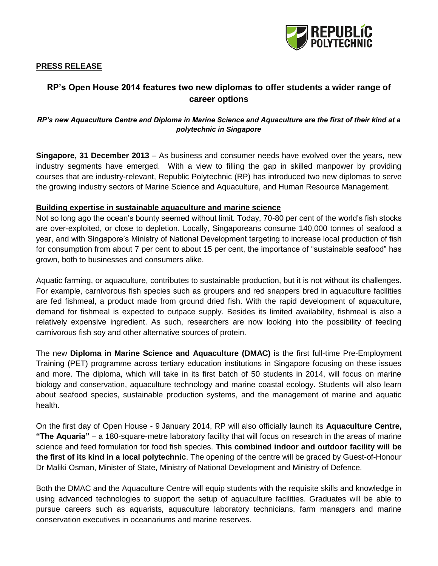

## **PRESS RELEASE**

# **RP's Open House 2014 features two new diplomas to offer students a wider range of career options**

## *RP's new Aquaculture Centre and Diploma in Marine Science and Aquaculture are the first of their kind at a polytechnic in Singapore*

**Singapore, 31 December 2013** – As business and consumer needs have evolved over the years, new industry segments have emerged. With a view to filling the gap in skilled manpower by providing courses that are industry-relevant, Republic Polytechnic (RP) has introduced two new diplomas to serve the growing industry sectors of Marine Science and Aquaculture, and Human Resource Management.

#### **Building expertise in sustainable aquaculture and marine science**

Not so long ago the ocean's bounty seemed without limit. Today, 70-80 per cent of the world's fish stocks are over-exploited, or close to depletion. Locally, Singaporeans consume 140,000 tonnes of seafood a year, and with Singapore's Ministry of National Development targeting to increase local production of fish for consumption from about 7 per cent to about 15 per cent, the importance of "sustainable seafood" has grown, both to businesses and consumers alike.

Aquatic farming, or aquaculture, contributes to sustainable production, but it is not without its challenges. For example, carnivorous fish species such as groupers and red snappers bred in aquaculture facilities are fed fishmeal, a product made from ground dried fish. With the rapid development of aquaculture, demand for fishmeal is expected to outpace supply. Besides its limited availability, fishmeal is also a relatively expensive ingredient. As such, researchers are now looking into the possibility of feeding carnivorous fish soy and other alternative sources of protein.

The new **Diploma in Marine Science and Aquaculture (DMAC)** is the first full-time Pre-Employment Training (PET) programme across tertiary education institutions in Singapore focusing on these issues and more. The diploma, which will take in its first batch of 50 students in 2014, will focus on marine biology and conservation, aquaculture technology and marine coastal ecology. Students will also learn about seafood species, sustainable production systems, and the management of marine and aquatic health.

On the first day of Open House - 9 January 2014, RP will also officially launch its **Aquaculture Centre, "The Aquaria"** – a 180-square-metre laboratory facility that will focus on research in the areas of marine science and feed formulation for food fish species. **This combined indoor and outdoor facility will be the first of its kind in a local polytechnic**. The opening of the centre will be graced by Guest-of-Honour Dr Maliki Osman, Minister of State, Ministry of National Development and Ministry of Defence.

Both the DMAC and the Aquaculture Centre will equip students with the requisite skills and knowledge in using advanced technologies to support the setup of aquaculture facilities. Graduates will be able to pursue careers such as aquarists, aquaculture laboratory technicians, farm managers and marine conservation executives in oceanariums and marine reserves.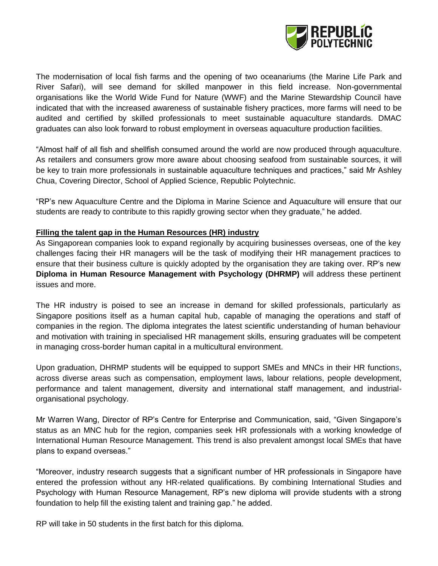

The modernisation of local fish farms and the opening of two oceanariums (the Marine Life Park and River Safari), will see demand for skilled manpower in this field increase. Non-governmental organisations like the World Wide Fund for Nature (WWF) and the Marine Stewardship Council have indicated that with the increased awareness of sustainable fishery practices, more farms will need to be audited and certified by skilled professionals to meet sustainable aquaculture standards. DMAC graduates can also look forward to robust employment in overseas aquaculture production facilities.

"Almost half of all fish and shellfish consumed around the world are now produced through aquaculture. As retailers and consumers grow more aware about choosing seafood from sustainable sources, it will be key to train more professionals in sustainable aquaculture techniques and practices," said Mr Ashley Chua, Covering Director, School of Applied Science, Republic Polytechnic.

"RP's new Aquaculture Centre and the Diploma in Marine Science and Aquaculture will ensure that our students are ready to contribute to this rapidly growing sector when they graduate," he added.

## **Filling the talent gap in the Human Resources (HR) industry**

As Singaporean companies look to expand regionally by acquiring businesses overseas, one of the key challenges facing their HR managers will be the task of modifying their HR management practices to ensure that their business culture is quickly adopted by the organisation they are taking over. RP's new **Diploma in Human Resource Management with Psychology (DHRMP)** will address these pertinent issues and more.

The HR industry is poised to see an increase in demand for skilled professionals, particularly as Singapore positions itself as a human capital hub, capable of managing the operations and staff of companies in the region. The diploma integrates the latest scientific understanding of human behaviour and motivation with training in specialised HR management skills, ensuring graduates will be competent in managing cross-border human capital in a multicultural environment.

Upon graduation, DHRMP students will be equipped to support SMEs and MNCs in their HR functions, across diverse areas such as compensation, employment laws, labour relations, people development, performance and talent management, diversity and international staff management, and industrialorganisational psychology.

Mr Warren Wang, Director of RP's Centre for Enterprise and Communication, said, "Given Singapore's status as an MNC hub for the region, companies seek HR professionals with a working knowledge of International Human Resource Management. This trend is also prevalent amongst local SMEs that have plans to expand overseas."

"Moreover, industry research suggests that a significant number of HR professionals in Singapore have entered the profession without any HR-related qualifications. By combining International Studies and Psychology with Human Resource Management, RP's new diploma will provide students with a strong foundation to help fill the existing talent and training gap." he added.

RP will take in 50 students in the first batch for this diploma.